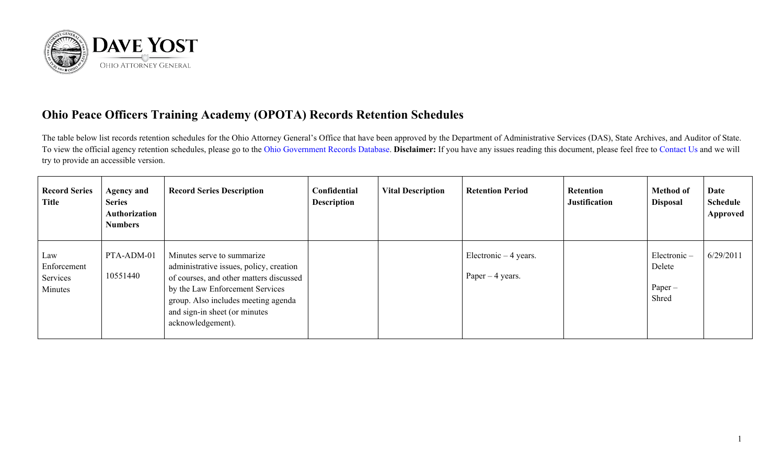

## **Ohio Peace Officers Training Academy (OPOTA) Records Retention Schedules**

The table below list records retention schedules for the Ohio Attorney General's Office that have been approved by the Department of Administrative Services (DAS), State Archives, and Auditor of State. To view the official agency retention schedules, please go to the [Ohio Government Records Database.](https://apps.das.ohio.gov/rims/default/Default.asp) **Disclaimer:** If you have any issues reading this document, please feel free to [Contact Us](https://www.ohioattorneygeneral.gov/About-AG/Contact) and we will try to provide an accessible version.

| <b>Record Series</b><br><b>Title</b>      | <b>Agency and</b><br><b>Series</b><br>Authorization<br><b>Numbers</b> | <b>Record Series Description</b>                                                                                                                                                                                                                 | Confidential<br><b>Description</b> | <b>Vital Description</b> | <b>Retention Period</b>                     | <b>Retention</b><br><b>Justification</b> | <b>Method of</b><br><b>Disposal</b>            | Date<br><b>Schedule</b><br>Approved |
|-------------------------------------------|-----------------------------------------------------------------------|--------------------------------------------------------------------------------------------------------------------------------------------------------------------------------------------------------------------------------------------------|------------------------------------|--------------------------|---------------------------------------------|------------------------------------------|------------------------------------------------|-------------------------------------|
| Law<br>Enforcement<br>Services<br>Minutes | PTA-ADM-01<br>10551440                                                | Minutes serve to summarize<br>administrative issues, policy, creation<br>of courses, and other matters discussed<br>by the Law Enforcement Services<br>group. Also includes meeting agenda<br>and sign-in sheet (or minutes<br>acknowledgement). |                                    |                          | Electronic $-4$ years.<br>Paper $-4$ years. |                                          | $Electronic -$<br>Delete<br>$Paper -$<br>Shred | 6/29/2011                           |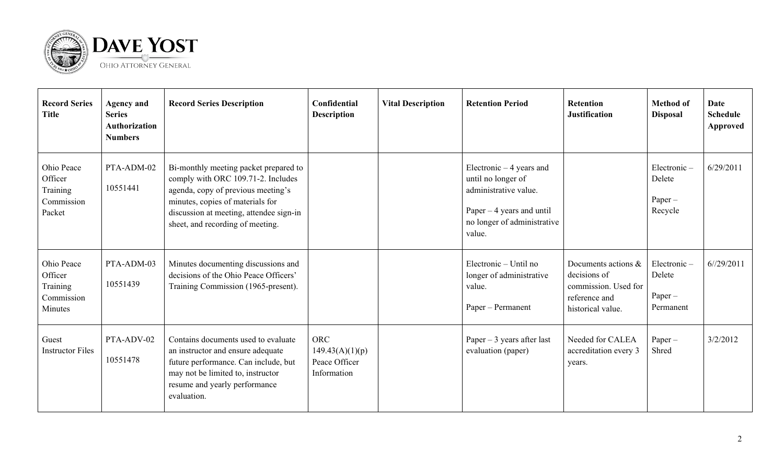

| <b>Record Series</b><br><b>Title</b>                       | <b>Agency and</b><br><b>Series</b><br><b>Authorization</b><br><b>Numbers</b> | <b>Record Series Description</b>                                                                                                                                                                                                     | Confidential<br><b>Description</b>                            | <b>Vital Description</b> | <b>Retention Period</b>                                                                                                                         | <b>Retention</b><br><b>Justification</b>                                                          | <b>Method of</b><br><b>Disposal</b>             | <b>Date</b><br><b>Schedule</b><br>Approved |
|------------------------------------------------------------|------------------------------------------------------------------------------|--------------------------------------------------------------------------------------------------------------------------------------------------------------------------------------------------------------------------------------|---------------------------------------------------------------|--------------------------|-------------------------------------------------------------------------------------------------------------------------------------------------|---------------------------------------------------------------------------------------------------|-------------------------------------------------|--------------------------------------------|
| Ohio Peace<br>Officer<br>Training<br>Commission<br>Packet  | PTA-ADM-02<br>10551441                                                       | Bi-monthly meeting packet prepared to<br>comply with ORC 109.71-2. Includes<br>agenda, copy of previous meeting's<br>minutes, copies of materials for<br>discussion at meeting, attendee sign-in<br>sheet, and recording of meeting. |                                                               |                          | Electronic $-4$ years and<br>until no longer of<br>administrative value.<br>Paper $-4$ years and until<br>no longer of administrative<br>value. |                                                                                                   | Electronic-<br>Delete<br>$Paper -$<br>Recycle   | 6/29/2011                                  |
| Ohio Peace<br>Officer<br>Training<br>Commission<br>Minutes | PTA-ADM-03<br>10551439                                                       | Minutes documenting discussions and<br>decisions of the Ohio Peace Officers'<br>Training Commission (1965-present).                                                                                                                  |                                                               |                          | Electronic – Until no<br>longer of administrative<br>value.<br>Paper - Permanent                                                                | Documents actions &<br>decisions of<br>commission. Used for<br>reference and<br>historical value. | Electronic-<br>Delete<br>$Paper -$<br>Permanent | 6/29/2011                                  |
| Guest<br><b>Instructor Files</b>                           | PTA-ADV-02<br>10551478                                                       | Contains documents used to evaluate<br>an instructor and ensure adequate<br>future performance. Can include, but<br>may not be limited to, instructor<br>resume and yearly performance<br>evaluation.                                | <b>ORC</b><br>149.43(A)(1)(p)<br>Peace Officer<br>Information |                          | Paper $-3$ years after last<br>evaluation (paper)                                                                                               | Needed for CALEA<br>accreditation every 3<br>years.                                               | Paper-<br>Shred                                 | 3/2/2012                                   |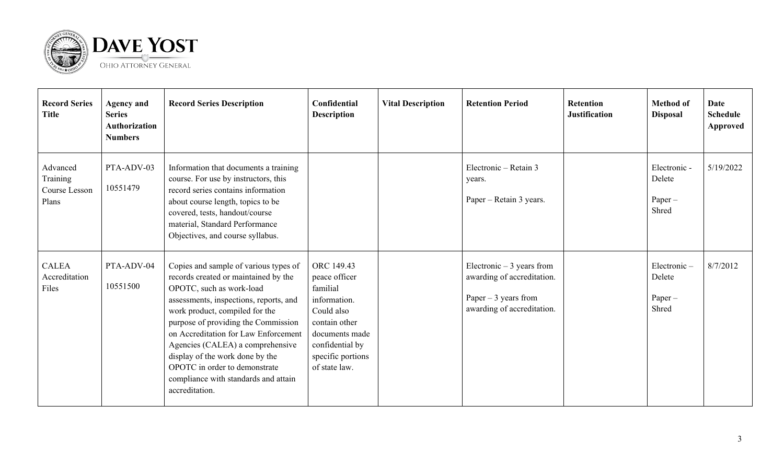

| <b>Record Series</b><br><b>Title</b>           | <b>Agency and</b><br><b>Series</b><br><b>Authorization</b><br><b>Numbers</b> | <b>Record Series Description</b>                                                                                                                                                                                                                                                                                                                                                                                                       | Confidential<br><b>Description</b>                                                                                                                                | <b>Vital Description</b> | <b>Retention Period</b>                                                                                         | <b>Retention</b><br><b>Justification</b> | <b>Method of</b><br><b>Disposal</b>          | <b>Date</b><br><b>Schedule</b><br>Approved |
|------------------------------------------------|------------------------------------------------------------------------------|----------------------------------------------------------------------------------------------------------------------------------------------------------------------------------------------------------------------------------------------------------------------------------------------------------------------------------------------------------------------------------------------------------------------------------------|-------------------------------------------------------------------------------------------------------------------------------------------------------------------|--------------------------|-----------------------------------------------------------------------------------------------------------------|------------------------------------------|----------------------------------------------|--------------------------------------------|
| Advanced<br>Training<br>Course Lesson<br>Plans | PTA-ADV-03<br>10551479                                                       | Information that documents a training<br>course. For use by instructors, this<br>record series contains information<br>about course length, topics to be<br>covered, tests, handout/course<br>material, Standard Performance<br>Objectives, and course syllabus.                                                                                                                                                                       |                                                                                                                                                                   |                          | Electronic - Retain 3<br>years.<br>Paper – Retain 3 years.                                                      |                                          | Electronic -<br>Delete<br>$Paper -$<br>Shred | 5/19/2022                                  |
| <b>CALEA</b><br>Accreditation<br>Files         | PTA-ADV-04<br>10551500                                                       | Copies and sample of various types of<br>records created or maintained by the<br>OPOTC, such as work-load<br>assessments, inspections, reports, and<br>work product, compiled for the<br>purpose of providing the Commission<br>on Accreditation for Law Enforcement<br>Agencies (CALEA) a comprehensive<br>display of the work done by the<br>OPOTC in order to demonstrate<br>compliance with standards and attain<br>accreditation. | ORC 149.43<br>peace officer<br>familial<br>information.<br>Could also<br>contain other<br>documents made<br>confidential by<br>specific portions<br>of state law. |                          | Electronic $-3$ years from<br>awarding of accreditation.<br>Paper $-3$ years from<br>awarding of accreditation. |                                          | Electronic-<br>Delete<br>$Paper -$<br>Shred  | 8/7/2012                                   |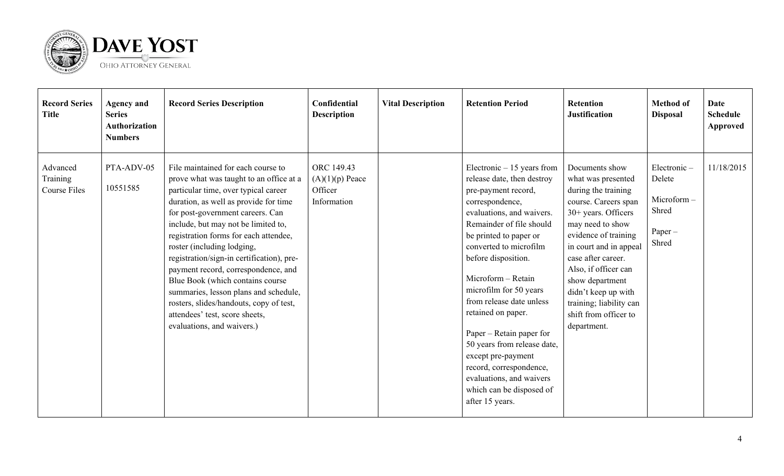

| <b>Record Series</b><br><b>Title</b> | <b>Agency and</b><br><b>Series</b><br><b>Authorization</b><br><b>Numbers</b> | <b>Record Series Description</b>                                                                                                                                                                                                                                                                                                                                                                                                                                                                                                                                                             | Confidential<br><b>Description</b>                        | <b>Vital Description</b> | <b>Retention Period</b>                                                                                                                                                                                                                                                                                                                                                                                                                                                                                                          | Retention<br><b>Justification</b>                                                                                                                                                                                                                                                                                                             | <b>Method of</b><br><b>Disposal</b>                                | Date<br><b>Schedule</b><br><b>Approved</b> |
|--------------------------------------|------------------------------------------------------------------------------|----------------------------------------------------------------------------------------------------------------------------------------------------------------------------------------------------------------------------------------------------------------------------------------------------------------------------------------------------------------------------------------------------------------------------------------------------------------------------------------------------------------------------------------------------------------------------------------------|-----------------------------------------------------------|--------------------------|----------------------------------------------------------------------------------------------------------------------------------------------------------------------------------------------------------------------------------------------------------------------------------------------------------------------------------------------------------------------------------------------------------------------------------------------------------------------------------------------------------------------------------|-----------------------------------------------------------------------------------------------------------------------------------------------------------------------------------------------------------------------------------------------------------------------------------------------------------------------------------------------|--------------------------------------------------------------------|--------------------------------------------|
| Advanced<br>Training<br>Course Files | PTA-ADV-05<br>10551585                                                       | File maintained for each course to<br>prove what was taught to an office at a<br>particular time, over typical career<br>duration, as well as provide for time<br>for post-government careers. Can<br>include, but may not be limited to,<br>registration forms for each attendee,<br>roster (including lodging,<br>registration/sign-in certification), pre-<br>payment record, correspondence, and<br>Blue Book (which contains course<br>summaries, lesson plans and schedule,<br>rosters, slides/handouts, copy of test,<br>attendees' test, score sheets,<br>evaluations, and waivers.) | ORC 149.43<br>$(A)(1)(p)$ Peace<br>Officer<br>Information |                          | Electronic $-15$ years from<br>release date, then destroy<br>pre-payment record,<br>correspondence,<br>evaluations, and waivers.<br>Remainder of file should<br>be printed to paper or<br>converted to microfilm<br>before disposition.<br>Microform - Retain<br>microfilm for 50 years<br>from release date unless<br>retained on paper.<br>Paper – Retain paper for<br>50 years from release date,<br>except pre-payment<br>record, correspondence,<br>evaluations, and waivers<br>which can be disposed of<br>after 15 years. | Documents show<br>what was presented<br>during the training<br>course. Careers span<br>$30+$ years. Officers<br>may need to show<br>evidence of training<br>in court and in appeal<br>case after career.<br>Also, if officer can<br>show department<br>didn't keep up with<br>training; liability can<br>shift from officer to<br>department. | Electronic-<br>Delete<br>Microform-<br>Shred<br>$Paper -$<br>Shred | 11/18/2015                                 |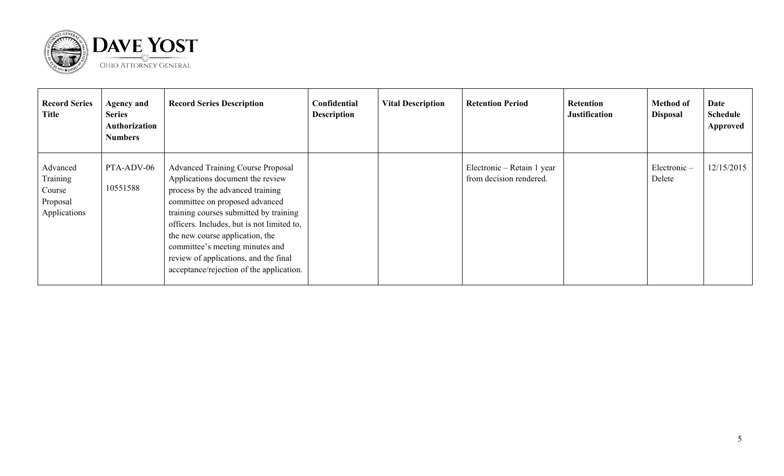

| <b>Record Series</b><br><b>Title</b>                       | <b>Agency and</b><br><b>Series</b><br>Authorization<br><b>Numbers</b> | <b>Record Series Description</b>                                                                                                                                                                                                                                                                                                                                                                      | Confidential<br><b>Description</b> | <b>Vital Description</b> | <b>Retention Period</b>                               | Retention<br><b>Justification</b> | <b>Method of</b><br><b>Disposal</b> | Date<br>Schedule<br>Approved |
|------------------------------------------------------------|-----------------------------------------------------------------------|-------------------------------------------------------------------------------------------------------------------------------------------------------------------------------------------------------------------------------------------------------------------------------------------------------------------------------------------------------------------------------------------------------|------------------------------------|--------------------------|-------------------------------------------------------|-----------------------------------|-------------------------------------|------------------------------|
| Advanced<br>Training<br>Course<br>Proposal<br>Applications | PTA-ADV-06<br>10551588                                                | <b>Advanced Training Course Proposal</b><br>Applications document the review<br>process by the advanced training<br>committee on proposed advanced<br>training courses submitted by training<br>officers. Includes, but is not limited to,<br>the new course application, the<br>committee's meeting minutes and<br>review of applications, and the final<br>acceptance/rejection of the application. |                                    |                          | Electronic – Retain 1 year<br>from decision rendered. |                                   | Electronic-<br>Delete               | 12/15/2015                   |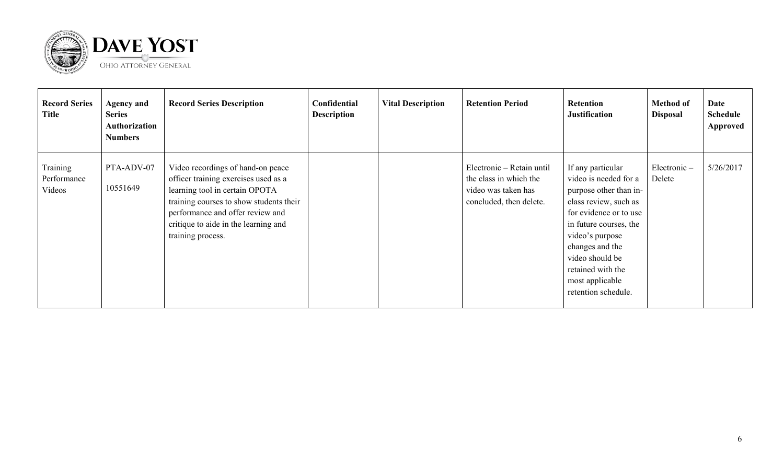

| <b>Record Series</b><br>Title     | <b>Agency and</b><br><b>Series</b><br>Authorization<br><b>Numbers</b> | <b>Record Series Description</b>                                                                                                                                                                                                                        | Confidential<br><b>Description</b> | <b>Vital Description</b> | <b>Retention Period</b>                                                                               | <b>Retention</b><br><b>Justification</b>                                                                                                                                                                                                                                  | <b>Method of</b><br><b>Disposal</b> | Date<br><b>Schedule</b><br>Approved |
|-----------------------------------|-----------------------------------------------------------------------|---------------------------------------------------------------------------------------------------------------------------------------------------------------------------------------------------------------------------------------------------------|------------------------------------|--------------------------|-------------------------------------------------------------------------------------------------------|---------------------------------------------------------------------------------------------------------------------------------------------------------------------------------------------------------------------------------------------------------------------------|-------------------------------------|-------------------------------------|
| Training<br>Performance<br>Videos | PTA-ADV-07<br>10551649                                                | Video recordings of hand-on peace<br>officer training exercises used as a<br>learning tool in certain OPOTA<br>training courses to show students their<br>performance and offer review and<br>critique to aide in the learning and<br>training process. |                                    |                          | Electronic – Retain until<br>the class in which the<br>video was taken has<br>concluded, then delete. | If any particular<br>video is needed for a<br>purpose other than in-<br>class review, such as<br>for evidence or to use<br>in future courses, the<br>video's purpose<br>changes and the<br>video should be<br>retained with the<br>most applicable<br>retention schedule. | Electronic-<br>Delete               | 5/26/2017                           |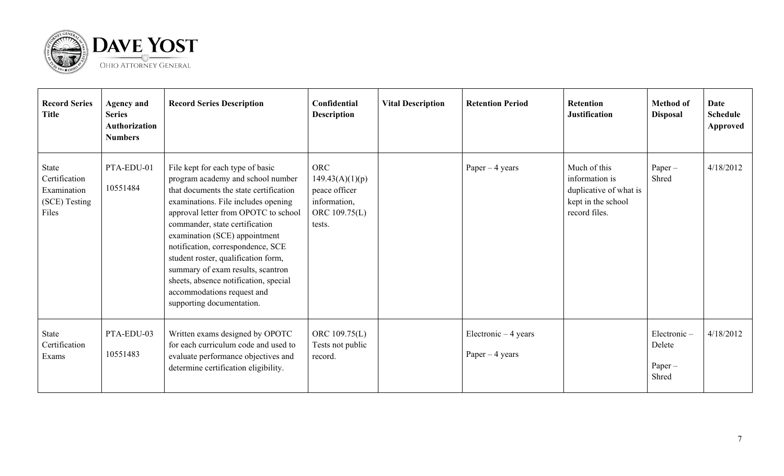

| <b>Record Series</b><br><b>Title</b>                            | <b>Agency and</b><br><b>Series</b><br><b>Authorization</b><br><b>Numbers</b> | <b>Record Series Description</b>                                                                                                                                                                                                                                                                                                                                                                                                                                                       | Confidential<br><b>Description</b>                                                        | <b>Vital Description</b> | <b>Retention Period</b>                   | <b>Retention</b><br><b>Justification</b>                                                        | <b>Method of</b><br><b>Disposal</b>         | <b>Date</b><br><b>Schedule</b><br>Approved |
|-----------------------------------------------------------------|------------------------------------------------------------------------------|----------------------------------------------------------------------------------------------------------------------------------------------------------------------------------------------------------------------------------------------------------------------------------------------------------------------------------------------------------------------------------------------------------------------------------------------------------------------------------------|-------------------------------------------------------------------------------------------|--------------------------|-------------------------------------------|-------------------------------------------------------------------------------------------------|---------------------------------------------|--------------------------------------------|
| State<br>Certification<br>Examination<br>(SCE) Testing<br>Files | PTA-EDU-01<br>10551484                                                       | File kept for each type of basic<br>program academy and school number<br>that documents the state certification<br>examinations. File includes opening<br>approval letter from OPOTC to school<br>commander, state certification<br>examination (SCE) appointment<br>notification, correspondence, SCE<br>student roster, qualification form,<br>summary of exam results, scantron<br>sheets, absence notification, special<br>accommodations request and<br>supporting documentation. | <b>ORC</b><br>149.43(A)(1)(p)<br>peace officer<br>information,<br>ORC 109.75(L)<br>tests. |                          | Paper $-4$ years                          | Much of this<br>information is<br>duplicative of what is<br>kept in the school<br>record files. | $Paper -$<br>Shred                          | 4/18/2012                                  |
| State<br>Certification<br>Exams                                 | PTA-EDU-03<br>10551483                                                       | Written exams designed by OPOTC<br>for each curriculum code and used to<br>evaluate performance objectives and<br>determine certification eligibility.                                                                                                                                                                                                                                                                                                                                 | ORC 109.75(L)<br>Tests not public<br>record.                                              |                          | Electronic $-4$ years<br>Paper $-4$ years |                                                                                                 | Electronic-<br>Delete<br>$Paper -$<br>Shred | 4/18/2012                                  |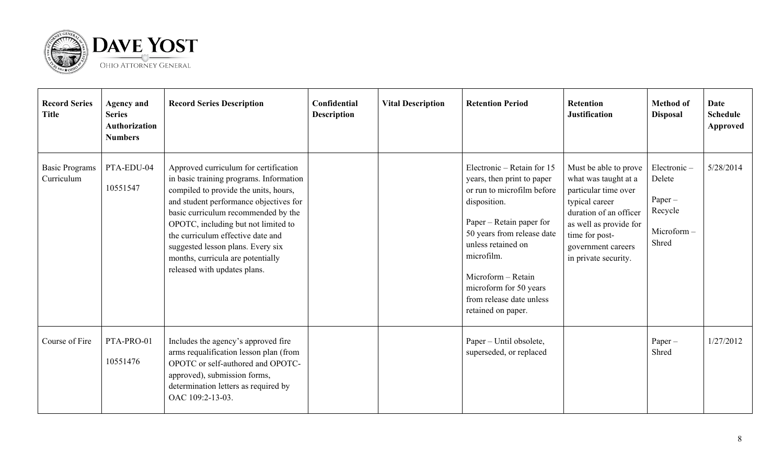

| <b>Record Series</b><br><b>Title</b> | <b>Agency and</b><br><b>Series</b><br><b>Authorization</b><br><b>Numbers</b> | <b>Record Series Description</b>                                                                                                                                                                                                                                                                                                                                                                 | Confidential<br><b>Description</b> | <b>Vital Description</b> | <b>Retention Period</b>                                                                                                                                                                                                                                                                                  | <b>Retention</b><br><b>Justification</b>                                                                                                                                                                    | <b>Method of</b><br><b>Disposal</b>                               | <b>Date</b><br><b>Schedule</b><br>Approved |
|--------------------------------------|------------------------------------------------------------------------------|--------------------------------------------------------------------------------------------------------------------------------------------------------------------------------------------------------------------------------------------------------------------------------------------------------------------------------------------------------------------------------------------------|------------------------------------|--------------------------|----------------------------------------------------------------------------------------------------------------------------------------------------------------------------------------------------------------------------------------------------------------------------------------------------------|-------------------------------------------------------------------------------------------------------------------------------------------------------------------------------------------------------------|-------------------------------------------------------------------|--------------------------------------------|
| <b>Basic Programs</b><br>Curriculum  | PTA-EDU-04<br>10551547                                                       | Approved curriculum for certification<br>in basic training programs. Information<br>compiled to provide the units, hours,<br>and student performance objectives for<br>basic curriculum recommended by the<br>OPOTC, including but not limited to<br>the curriculum effective date and<br>suggested lesson plans. Every six<br>months, curricula are potentially<br>released with updates plans. |                                    |                          | Electronic – Retain for $15$<br>years, then print to paper<br>or run to microfilm before<br>disposition.<br>Paper – Retain paper for<br>50 years from release date<br>unless retained on<br>microfilm.<br>Microform - Retain<br>microform for 50 years<br>from release date unless<br>retained on paper. | Must be able to prove<br>what was taught at a<br>particular time over<br>typical career<br>duration of an officer<br>as well as provide for<br>time for post-<br>government careers<br>in private security. | Electronic-<br>Delete<br>Paper-<br>Recycle<br>Microform-<br>Shred | 5/28/2014                                  |
| Course of Fire                       | PTA-PRO-01<br>10551476                                                       | Includes the agency's approved fire<br>arms requalification lesson plan (from<br>OPOTC or self-authored and OPOTC-<br>approved), submission forms,<br>determination letters as required by<br>OAC 109:2-13-03.                                                                                                                                                                                   |                                    |                          | Paper – Until obsolete,<br>superseded, or replaced                                                                                                                                                                                                                                                       |                                                                                                                                                                                                             | $Paper -$<br>Shred                                                | 1/27/2012                                  |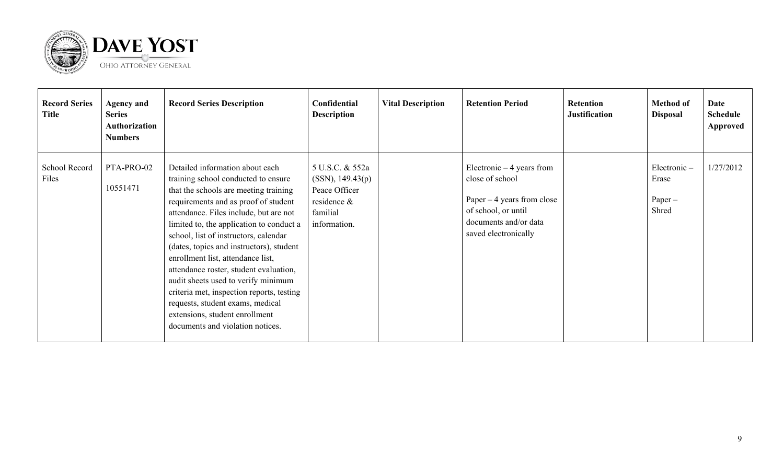

| <b>Record Series</b><br><b>Title</b> | <b>Agency and</b><br><b>Series</b><br>Authorization<br><b>Numbers</b> | <b>Record Series Description</b>                                                                                                                                                                                                                                                                                                                                                                                                                                                                                                                                                                                | Confidential<br><b>Description</b>                                                              | <b>Vital Description</b> | <b>Retention Period</b>                                                                                                                              | Retention<br><b>Justification</b> | <b>Method of</b><br><b>Disposal</b>        | Date<br>Schedule<br>Approved |
|--------------------------------------|-----------------------------------------------------------------------|-----------------------------------------------------------------------------------------------------------------------------------------------------------------------------------------------------------------------------------------------------------------------------------------------------------------------------------------------------------------------------------------------------------------------------------------------------------------------------------------------------------------------------------------------------------------------------------------------------------------|-------------------------------------------------------------------------------------------------|--------------------------|------------------------------------------------------------------------------------------------------------------------------------------------------|-----------------------------------|--------------------------------------------|------------------------------|
| School Record<br>Files               | PTA-PRO-02<br>10551471                                                | Detailed information about each<br>training school conducted to ensure<br>that the schools are meeting training<br>requirements and as proof of student<br>attendance. Files include, but are not<br>limited to, the application to conduct a<br>school, list of instructors, calendar<br>(dates, topics and instructors), student<br>enrollment list, attendance list,<br>attendance roster, student evaluation,<br>audit sheets used to verify minimum<br>criteria met, inspection reports, testing<br>requests, student exams, medical<br>extensions, student enrollment<br>documents and violation notices. | 5 U.S.C. & 552a<br>(SSN), 149.43(p)<br>Peace Officer<br>residence &<br>familial<br>information. |                          | Electronic $-4$ years from<br>close of school<br>Paper $-4$ years from close<br>of school, or until<br>documents and/or data<br>saved electronically |                                   | Electronic-<br>Erase<br>$Paper -$<br>Shred | 1/27/2012                    |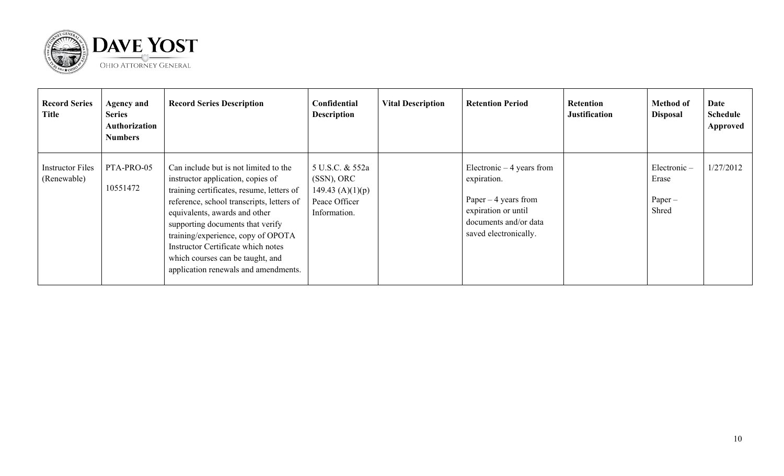

| <b>Record Series</b><br><b>Title</b>   | <b>Agency and</b><br><b>Series</b><br>Authorization<br><b>Numbers</b> | <b>Record Series Description</b>                                                                                                                                                                                                                                                                                                                                                                  | Confidential<br><b>Description</b>                                                   | <b>Vital Description</b> | <b>Retention Period</b>                                                                                                                     | Retention<br><b>Justification</b> | <b>Method of</b><br><b>Disposal</b>           | Date<br><b>Schedule</b><br>Approved |
|----------------------------------------|-----------------------------------------------------------------------|---------------------------------------------------------------------------------------------------------------------------------------------------------------------------------------------------------------------------------------------------------------------------------------------------------------------------------------------------------------------------------------------------|--------------------------------------------------------------------------------------|--------------------------|---------------------------------------------------------------------------------------------------------------------------------------------|-----------------------------------|-----------------------------------------------|-------------------------------------|
| <b>Instructor Files</b><br>(Renewable) | PTA-PRO-05<br>10551472                                                | Can include but is not limited to the<br>instructor application, copies of<br>training certificates, resume, letters of<br>reference, school transcripts, letters of<br>equivalents, awards and other<br>supporting documents that verify<br>training/experience, copy of OPOTA<br>Instructor Certificate which notes<br>which courses can be taught, and<br>application renewals and amendments. | 5 U.S.C. & 552a<br>(SSN), ORC<br>149.43 $(A)(1)(p)$<br>Peace Officer<br>Information. |                          | Electronic $-4$ years from<br>expiration.<br>Paper $-4$ years from<br>expiration or until<br>documents and/or data<br>saved electronically. |                                   | $Electronic -$<br>Erase<br>$Paper -$<br>Shred | 1/27/2012                           |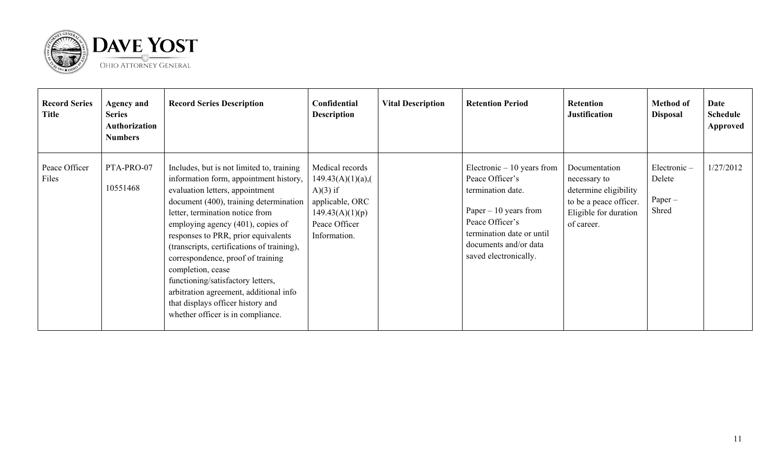

| <b>Record Series</b><br><b>Title</b> | <b>Agency and</b><br><b>Series</b><br>Authorization<br><b>Numbers</b> | <b>Record Series Description</b>                                                                                                                                                                                                                                                                                                                                                                                                                                                                                                                 | Confidential<br><b>Description</b>                                                                                          | <b>Vital Description</b> | <b>Retention Period</b>                                                                                                                                                                         | <b>Retention</b><br><b>Justification</b>                                                                                | <b>Method of</b><br><b>Disposal</b>         | Date<br><b>Schedule</b><br>Approved |
|--------------------------------------|-----------------------------------------------------------------------|--------------------------------------------------------------------------------------------------------------------------------------------------------------------------------------------------------------------------------------------------------------------------------------------------------------------------------------------------------------------------------------------------------------------------------------------------------------------------------------------------------------------------------------------------|-----------------------------------------------------------------------------------------------------------------------------|--------------------------|-------------------------------------------------------------------------------------------------------------------------------------------------------------------------------------------------|-------------------------------------------------------------------------------------------------------------------------|---------------------------------------------|-------------------------------------|
| Peace Officer<br>Files               | PTA-PRO-07<br>10551468                                                | Includes, but is not limited to, training<br>information form, appointment history,<br>evaluation letters, appointment<br>document (400), training determination<br>letter, termination notice from<br>employing agency (401), copies of<br>responses to PRR, prior equivalents<br>(transcripts, certifications of training),<br>correspondence, proof of training<br>completion, cease<br>functioning/satisfactory letters,<br>arbitration agreement, additional info<br>that displays officer history and<br>whether officer is in compliance. | Medical records<br>$149.43(A)(1)(a)$ ,<br>$A)(3)$ if<br>applicable, ORC<br>149.43(A)(1)(p)<br>Peace Officer<br>Information. |                          | Electronic $-10$ years from<br>Peace Officer's<br>termination date.<br>Paper $-10$ years from<br>Peace Officer's<br>termination date or until<br>documents and/or data<br>saved electronically. | Documentation<br>necessary to<br>determine eligibility<br>to be a peace officer.<br>Eligible for duration<br>of career. | Electronic-<br>Delete<br>$Paper -$<br>Shred | 1/27/2012                           |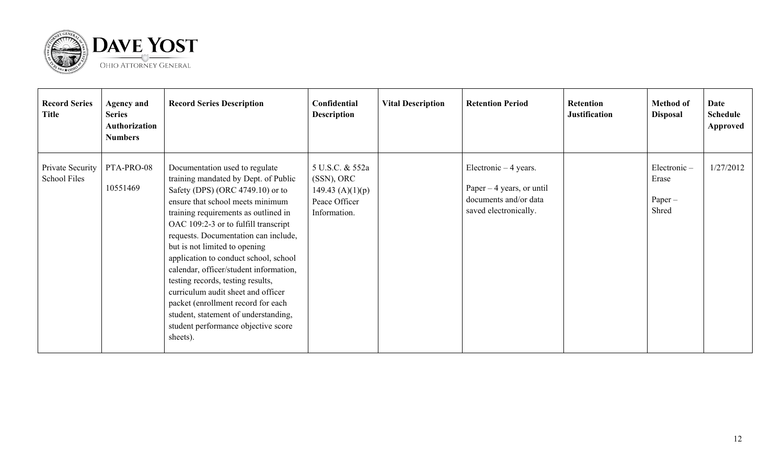

| <b>Record Series</b><br><b>Title</b> | <b>Agency and</b><br><b>Series</b><br>Authorization<br><b>Numbers</b> | <b>Record Series Description</b>                                                                                                                                                                                                                                                                                                                                                                                                                                                                                                                                                                       | Confidential<br><b>Description</b>                                                      | <b>Vital Description</b> | <b>Retention Period</b>                                                                                | <b>Retention</b><br><b>Justification</b> | <b>Method of</b><br><b>Disposal</b>        | Date<br><b>Schedule</b><br>Approved |
|--------------------------------------|-----------------------------------------------------------------------|--------------------------------------------------------------------------------------------------------------------------------------------------------------------------------------------------------------------------------------------------------------------------------------------------------------------------------------------------------------------------------------------------------------------------------------------------------------------------------------------------------------------------------------------------------------------------------------------------------|-----------------------------------------------------------------------------------------|--------------------------|--------------------------------------------------------------------------------------------------------|------------------------------------------|--------------------------------------------|-------------------------------------|
| Private Security<br>School Files     | PTA-PRO-08<br>10551469                                                | Documentation used to regulate<br>training mandated by Dept. of Public<br>Safety (DPS) (ORC 4749.10) or to<br>ensure that school meets minimum<br>training requirements as outlined in<br>OAC 109:2-3 or to fulfill transcript<br>requests. Documentation can include,<br>but is not limited to opening<br>application to conduct school, school<br>calendar, officer/student information,<br>testing records, testing results,<br>curriculum audit sheet and officer<br>packet (enrollment record for each<br>student, statement of understanding,<br>student performance objective score<br>sheets). | 5 U.S.C. & 552a<br>$(SSN)$ , ORC<br>149.43 $(A)(1)(p)$<br>Peace Officer<br>Information. |                          | Electronic $-4$ years.<br>Paper $-4$ years, or until<br>documents and/or data<br>saved electronically. |                                          | Electronic-<br>Erase<br>$Paper -$<br>Shred | 1/27/2012                           |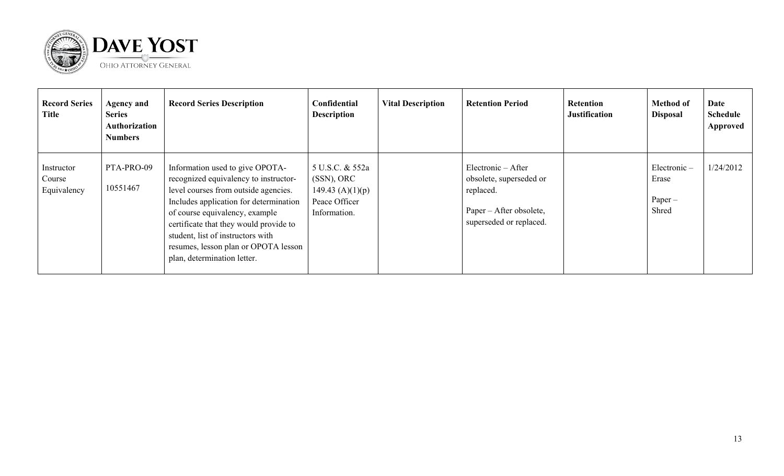

| <b>Record Series</b><br><b>Title</b> | <b>Agency and</b><br><b>Series</b><br>Authorization<br><b>Numbers</b> | <b>Record Series Description</b>                                                                                                                                                                                                                                                                                                                   | Confidential<br><b>Description</b>                                                   | <b>Vital Description</b> | <b>Retention Period</b>                                                                                          | <b>Retention</b><br><b>Justification</b> | <b>Method of</b><br><b>Disposal</b>        | Date<br><b>Schedule</b><br>Approved |
|--------------------------------------|-----------------------------------------------------------------------|----------------------------------------------------------------------------------------------------------------------------------------------------------------------------------------------------------------------------------------------------------------------------------------------------------------------------------------------------|--------------------------------------------------------------------------------------|--------------------------|------------------------------------------------------------------------------------------------------------------|------------------------------------------|--------------------------------------------|-------------------------------------|
| Instructor<br>Course<br>Equivalency  | PTA-PRO-09<br>10551467                                                | Information used to give OPOTA-<br>recognized equivalency to instructor-<br>level courses from outside agencies.<br>Includes application for determination<br>of course equivalency, example<br>certificate that they would provide to<br>student, list of instructors with<br>resumes, lesson plan or OPOTA lesson<br>plan, determination letter. | 5 U.S.C. & 552a<br>(SSN), ORC<br>149.43 $(A)(1)(p)$<br>Peace Officer<br>Information. |                          | Electronic – After<br>obsolete, superseded or<br>replaced.<br>Paper – After obsolete,<br>superseded or replaced. |                                          | Electronic-<br>Erase<br>$Paper -$<br>Shred | 1/24/2012                           |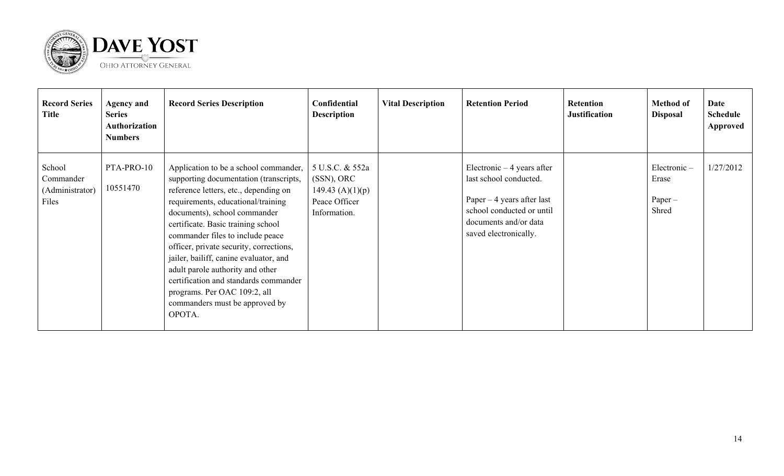

| <b>Record Series</b><br><b>Title</b>            | <b>Agency and</b><br><b>Series</b><br>Authorization<br><b>Numbers</b> | <b>Record Series Description</b>                                                                                                                                                                                                                                                                                                                                                                                                                                                                                       | Confidential<br><b>Description</b>                                                      | <b>Vital Description</b> | <b>Retention Period</b>                                                                                                                                             | <b>Retention</b><br><b>Justification</b> | <b>Method of</b><br><b>Disposal</b>           | Date<br><b>Schedule</b><br>Approved |
|-------------------------------------------------|-----------------------------------------------------------------------|------------------------------------------------------------------------------------------------------------------------------------------------------------------------------------------------------------------------------------------------------------------------------------------------------------------------------------------------------------------------------------------------------------------------------------------------------------------------------------------------------------------------|-----------------------------------------------------------------------------------------|--------------------------|---------------------------------------------------------------------------------------------------------------------------------------------------------------------|------------------------------------------|-----------------------------------------------|-------------------------------------|
| School<br>Commander<br>(Administrator)<br>Files | PTA-PRO-10<br>10551470                                                | Application to be a school commander,<br>supporting documentation (transcripts,<br>reference letters, etc., depending on<br>requirements, educational/training<br>documents), school commander<br>certificate. Basic training school<br>commander files to include peace<br>officer, private security, corrections,<br>jailer, bailiff, canine evaluator, and<br>adult parole authority and other<br>certification and standards commander<br>programs. Per OAC 109:2, all<br>commanders must be approved by<br>OPOTA. | 5 U.S.C. & 552a<br>$(SSN)$ , ORC<br>149.43 $(A)(1)(p)$<br>Peace Officer<br>Information. |                          | Electronic $-4$ years after<br>last school conducted.<br>Paper $-4$ years after last<br>school conducted or until<br>documents and/or data<br>saved electronically. |                                          | $Electronic -$<br>Erase<br>$Paper -$<br>Shred | 1/27/2012                           |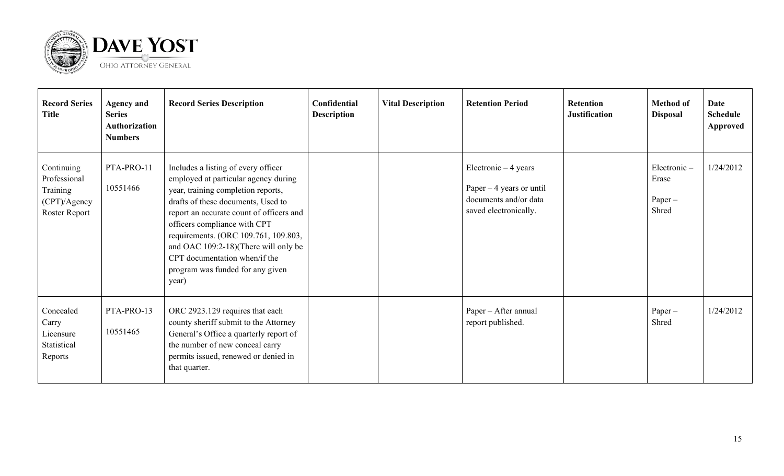

| <b>Record Series</b><br><b>Title</b>                                    | <b>Agency and</b><br><b>Series</b><br>Authorization<br><b>Numbers</b> | <b>Record Series Description</b>                                                                                                                                                                                                                                                                                                                                                                  | Confidential<br><b>Description</b> | <b>Vital Description</b> | <b>Retention Period</b>                                                                              | <b>Retention</b><br><b>Justification</b> | <b>Method of</b><br><b>Disposal</b>        | Date<br><b>Schedule</b><br>Approved |
|-------------------------------------------------------------------------|-----------------------------------------------------------------------|---------------------------------------------------------------------------------------------------------------------------------------------------------------------------------------------------------------------------------------------------------------------------------------------------------------------------------------------------------------------------------------------------|------------------------------------|--------------------------|------------------------------------------------------------------------------------------------------|------------------------------------------|--------------------------------------------|-------------------------------------|
| Continuing<br>Professional<br>Training<br>(CPT)/Agency<br>Roster Report | PTA-PRO-11<br>10551466                                                | Includes a listing of every officer<br>employed at particular agency during<br>year, training completion reports,<br>drafts of these documents, Used to<br>report an accurate count of officers and<br>officers compliance with CPT<br>requirements. (ORC 109.761, 109.803,<br>and OAC 109:2-18)(There will only be<br>CPT documentation when/if the<br>program was funded for any given<br>year) |                                    |                          | Electronic $-4$ years<br>Paper $-4$ years or until<br>documents and/or data<br>saved electronically. |                                          | Electronic-<br>Erase<br>$Paper -$<br>Shred | 1/24/2012                           |
| Concealed<br>Carry<br>Licensure<br>Statistical<br>Reports               | PTA-PRO-13<br>10551465                                                | ORC 2923.129 requires that each<br>county sheriff submit to the Attorney<br>General's Office a quarterly report of<br>the number of new conceal carry<br>permits issued, renewed or denied in<br>that quarter.                                                                                                                                                                                    |                                    |                          | Paper – After annual<br>report published.                                                            |                                          | $Paper -$<br>Shred                         | 1/24/2012                           |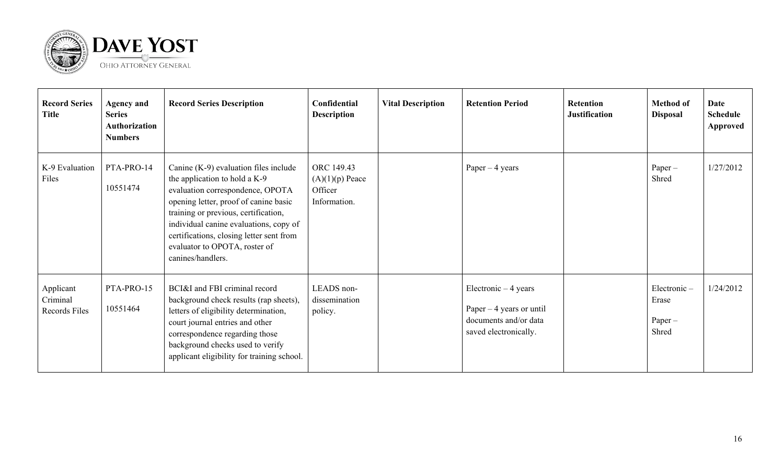

| <b>Record Series</b><br><b>Title</b>   | <b>Agency and</b><br><b>Series</b><br><b>Authorization</b><br><b>Numbers</b> | <b>Record Series Description</b>                                                                                                                                                                                                                                                                                                          | Confidential<br><b>Description</b>                         | <b>Vital Description</b> | <b>Retention Period</b>                                                                              | <b>Retention</b><br><b>Justification</b> | <b>Method of</b><br><b>Disposal</b>        | <b>Date</b><br>Schedule<br>Approved |
|----------------------------------------|------------------------------------------------------------------------------|-------------------------------------------------------------------------------------------------------------------------------------------------------------------------------------------------------------------------------------------------------------------------------------------------------------------------------------------|------------------------------------------------------------|--------------------------|------------------------------------------------------------------------------------------------------|------------------------------------------|--------------------------------------------|-------------------------------------|
| K-9 Evaluation<br>Files                | PTA-PRO-14<br>10551474                                                       | Canine $(K-9)$ evaluation files include<br>the application to hold a K-9<br>evaluation correspondence, OPOTA<br>opening letter, proof of canine basic<br>training or previous, certification,<br>individual canine evaluations, copy of<br>certifications, closing letter sent from<br>evaluator to OPOTA, roster of<br>canines/handlers. | ORC 149.43<br>$(A)(1)(p)$ Peace<br>Officer<br>Information. |                          | Paper $-4$ years                                                                                     |                                          | Paper-<br>Shred                            | 1/27/2012                           |
| Applicant<br>Criminal<br>Records Files | PTA-PRO-15<br>10551464                                                       | BCI&I and FBI criminal record<br>background check results (rap sheets),<br>letters of eligibility determination,<br>court journal entries and other<br>correspondence regarding those<br>background checks used to verify<br>applicant eligibility for training school.                                                                   | LEADS non-<br>dissemination<br>policy.                     |                          | Electronic $-4$ years<br>Paper $-4$ years or until<br>documents and/or data<br>saved electronically. |                                          | Electronic-<br>Erase<br>$Paper -$<br>Shred | 1/24/2012                           |